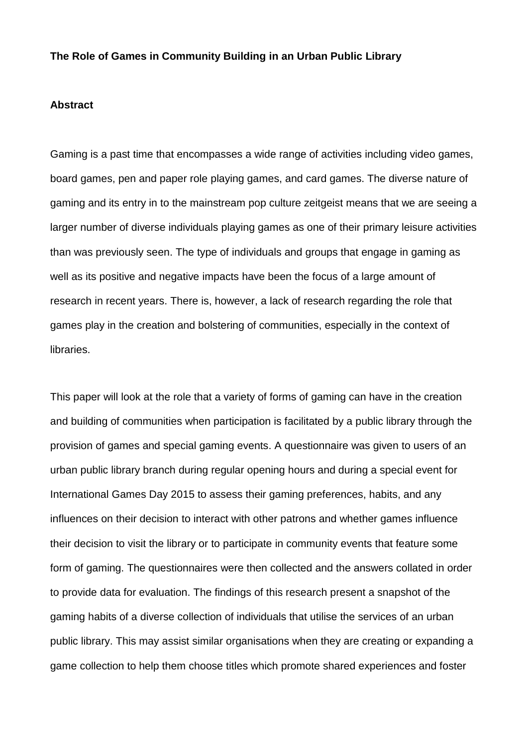# **The Role of Games in Community Building in an Urban Public Library**

#### **Abstract**

Gaming is a past time that encompasses a wide range of activities including video games, board games, pen and paper role playing games, and card games. The diverse nature of gaming and its entry in to the mainstream pop culture zeitgeist means that we are seeing a larger number of diverse individuals playing games as one of their primary leisure activities than was previously seen. The type of individuals and groups that engage in gaming as well as its positive and negative impacts have been the focus of a large amount of research in recent years. There is, however, a lack of research regarding the role that games play in the creation and bolstering of communities, especially in the context of libraries.

This paper will look at the role that a variety of forms of gaming can have in the creation and building of communities when participation is facilitated by a public library through the provision of games and special gaming events. A questionnaire was given to users of an urban public library branch during regular opening hours and during a special event for International Games Day 2015 to assess their gaming preferences, habits, and any influences on their decision to interact with other patrons and whether games influence their decision to visit the library or to participate in community events that feature some form of gaming. The questionnaires were then collected and the answers collated in order to provide data for evaluation. The findings of this research present a snapshot of the gaming habits of a diverse collection of individuals that utilise the services of an urban public library. This may assist similar organisations when they are creating or expanding a game collection to help them choose titles which promote shared experiences and foster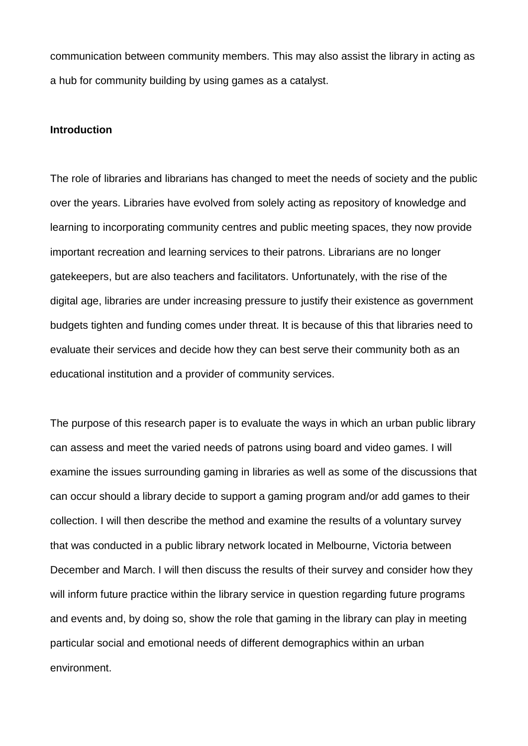communication between community members. This may also assist the library in acting as a hub for community building by using games as a catalyst.

#### **Introduction**

The role of libraries and librarians has changed to meet the needs of society and the public over the years. Libraries have evolved from solely acting as repository of knowledge and learning to incorporating community centres and public meeting spaces, they now provide important recreation and learning services to their patrons. Librarians are no longer gatekeepers, but are also teachers and facilitators. Unfortunately, with the rise of the digital age, libraries are under increasing pressure to justify their existence as government budgets tighten and funding comes under threat. It is because of this that libraries need to evaluate their services and decide how they can best serve their community both as an educational institution and a provider of community services.

The purpose of this research paper is to evaluate the ways in which an urban public library can assess and meet the varied needs of patrons using board and video games. I will examine the issues surrounding gaming in libraries as well as some of the discussions that can occur should a library decide to support a gaming program and/or add games to their collection. I will then describe the method and examine the results of a voluntary survey that was conducted in a public library network located in Melbourne, Victoria between December and March. I will then discuss the results of their survey and consider how they will inform future practice within the library service in question regarding future programs and events and, by doing so, show the role that gaming in the library can play in meeting particular social and emotional needs of different demographics within an urban environment.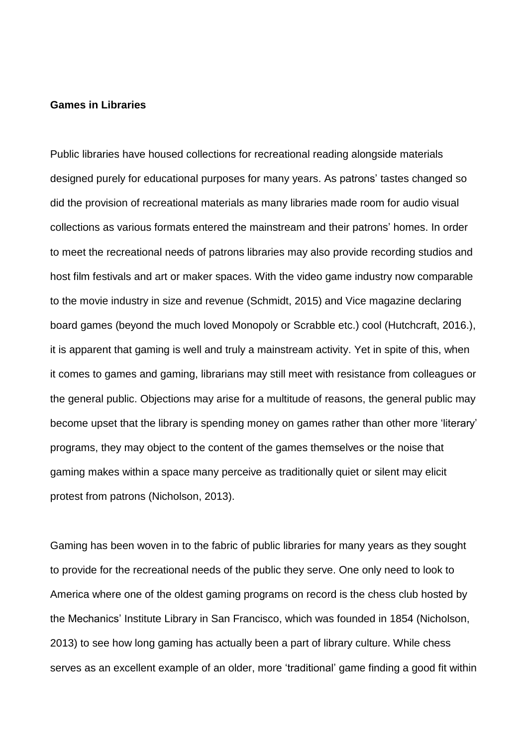#### **Games in Libraries**

Public libraries have housed collections for recreational reading alongside materials designed purely for educational purposes for many years. As patrons' tastes changed so did the provision of recreational materials as many libraries made room for audio visual collections as various formats entered the mainstream and their patrons' homes. In order to meet the recreational needs of patrons libraries may also provide recording studios and host film festivals and art or maker spaces. With the video game industry now comparable to the movie industry in size and revenue (Schmidt, 2015) and Vice magazine declaring board games (beyond the much loved Monopoly or Scrabble etc.) cool (Hutchcraft, 2016.), it is apparent that gaming is well and truly a mainstream activity. Yet in spite of this, when it comes to games and gaming, librarians may still meet with resistance from colleagues or the general public. Objections may arise for a multitude of reasons, the general public may become upset that the library is spending money on games rather than other more 'literary' programs, they may object to the content of the games themselves or the noise that gaming makes within a space many perceive as traditionally quiet or silent may elicit protest from patrons (Nicholson, 2013).

Gaming has been woven in to the fabric of public libraries for many years as they sought to provide for the recreational needs of the public they serve. One only need to look to America where one of the oldest gaming programs on record is the chess club hosted by the Mechanics' Institute Library in San Francisco, which was founded in 1854 (Nicholson, 2013) to see how long gaming has actually been a part of library culture. While chess serves as an excellent example of an older, more 'traditional' game finding a good fit within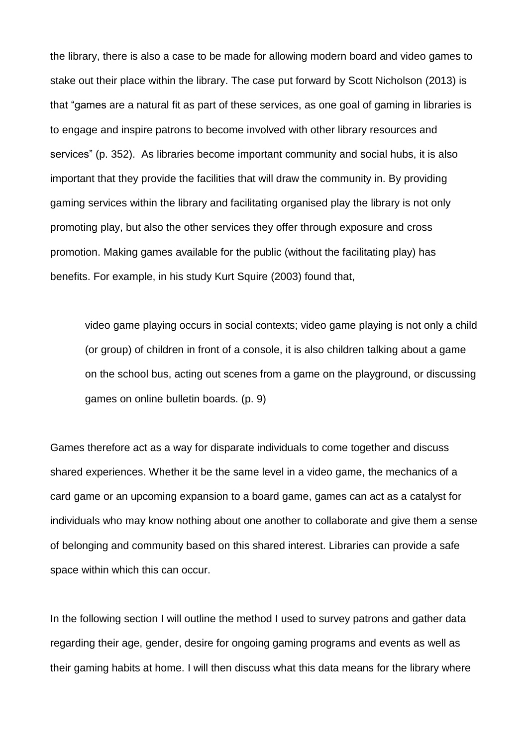the library, there is also a case to be made for allowing modern board and video games to stake out their place within the library. The case put forward by Scott Nicholson (2013) is that "games are a natural fit as part of these services, as one goal of gaming in libraries is to engage and inspire patrons to become involved with other library resources and services" (p. 352). As libraries become important community and social hubs, it is also important that they provide the facilities that will draw the community in. By providing gaming services within the library and facilitating organised play the library is not only promoting play, but also the other services they offer through exposure and cross promotion. Making games available for the public (without the facilitating play) has benefits. For example, in his study Kurt Squire (2003) found that,

video game playing occurs in social contexts; video game playing is not only a child (or group) of children in front of a console, it is also children talking about a game on the school bus, acting out scenes from a game on the playground, or discussing games on online bulletin boards. (p. 9)

Games therefore act as a way for disparate individuals to come together and discuss shared experiences. Whether it be the same level in a video game, the mechanics of a card game or an upcoming expansion to a board game, games can act as a catalyst for individuals who may know nothing about one another to collaborate and give them a sense of belonging and community based on this shared interest. Libraries can provide a safe space within which this can occur.

In the following section I will outline the method I used to survey patrons and gather data regarding their age, gender, desire for ongoing gaming programs and events as well as their gaming habits at home. I will then discuss what this data means for the library where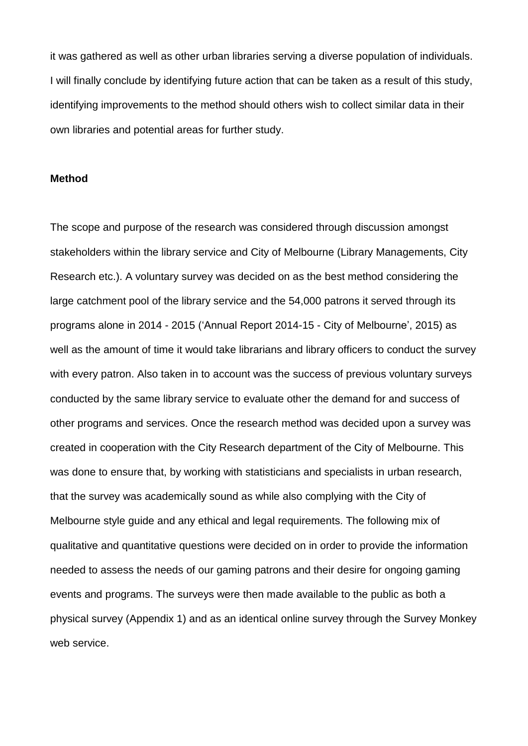it was gathered as well as other urban libraries serving a diverse population of individuals. I will finally conclude by identifying future action that can be taken as a result of this study, identifying improvements to the method should others wish to collect similar data in their own libraries and potential areas for further study.

#### **Method**

The scope and purpose of the research was considered through discussion amongst stakeholders within the library service and City of Melbourne (Library Managements, City Research etc.). A voluntary survey was decided on as the best method considering the large catchment pool of the library service and the 54,000 patrons it served through its programs alone in 2014 - 2015 ('Annual Report 2014-15 - City of Melbourne', 2015) as well as the amount of time it would take librarians and library officers to conduct the survey with every patron. Also taken in to account was the success of previous voluntary surveys conducted by the same library service to evaluate other the demand for and success of other programs and services. Once the research method was decided upon a survey was created in cooperation with the City Research department of the City of Melbourne. This was done to ensure that, by working with statisticians and specialists in urban research, that the survey was academically sound as while also complying with the City of Melbourne style guide and any ethical and legal requirements. The following mix of qualitative and quantitative questions were decided on in order to provide the information needed to assess the needs of our gaming patrons and their desire for ongoing gaming events and programs. The surveys were then made available to the public as both a physical survey (Appendix 1) and as an identical online survey through the Survey Monkey web service.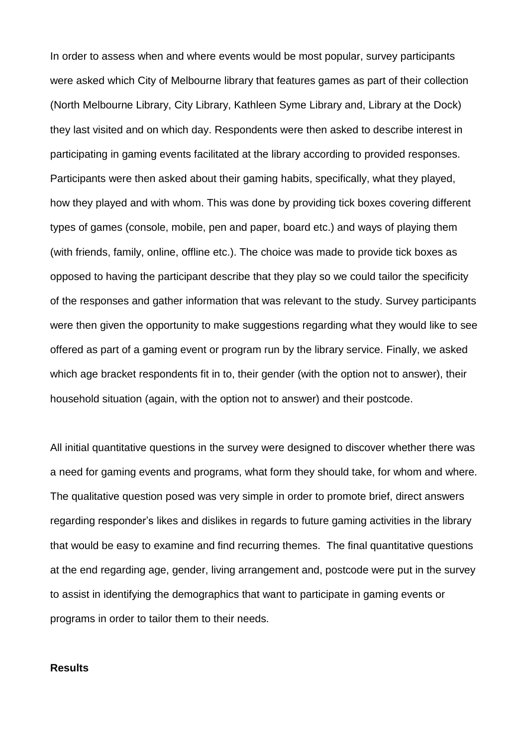In order to assess when and where events would be most popular, survey participants were asked which City of Melbourne library that features games as part of their collection (North Melbourne Library, City Library, Kathleen Syme Library and, Library at the Dock) they last visited and on which day. Respondents were then asked to describe interest in participating in gaming events facilitated at the library according to provided responses. Participants were then asked about their gaming habits, specifically, what they played, how they played and with whom. This was done by providing tick boxes covering different types of games (console, mobile, pen and paper, board etc.) and ways of playing them (with friends, family, online, offline etc.). The choice was made to provide tick boxes as opposed to having the participant describe that they play so we could tailor the specificity of the responses and gather information that was relevant to the study. Survey participants were then given the opportunity to make suggestions regarding what they would like to see offered as part of a gaming event or program run by the library service. Finally, we asked which age bracket respondents fit in to, their gender (with the option not to answer), their household situation (again, with the option not to answer) and their postcode.

All initial quantitative questions in the survey were designed to discover whether there was a need for gaming events and programs, what form they should take, for whom and where. The qualitative question posed was very simple in order to promote brief, direct answers regarding responder's likes and dislikes in regards to future gaming activities in the library that would be easy to examine and find recurring themes. The final quantitative questions at the end regarding age, gender, living arrangement and, postcode were put in the survey to assist in identifying the demographics that want to participate in gaming events or programs in order to tailor them to their needs.

### **Results**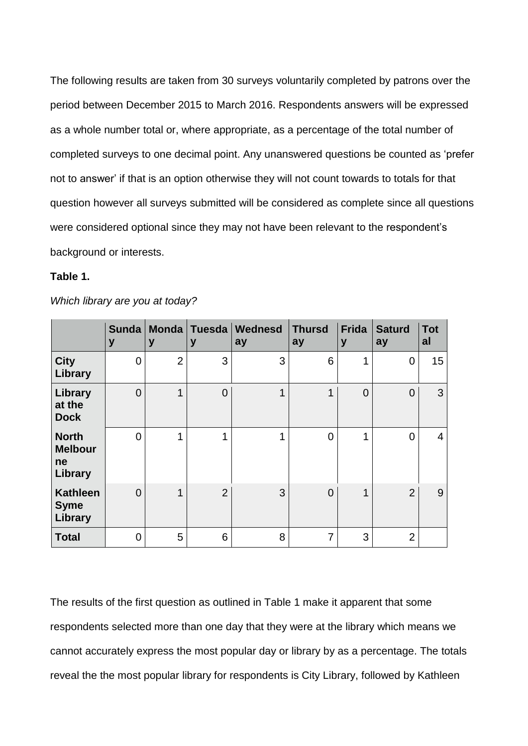The following results are taken from 30 surveys voluntarily completed by patrons over the period between December 2015 to March 2016. Respondents answers will be expressed as a whole number total or, where appropriate, as a percentage of the total number of completed surveys to one decimal point. Any unanswered questions be counted as 'prefer not to answer' if that is an option otherwise they will not count towards to totals for that question however all surveys submitted will be considered as complete since all questions were considered optional since they may not have been relevant to the respondent's background or interests.

# **Table 1.**

|                                                 | <b>Sunda</b><br>y | <b>Monda</b><br>y | <b>Tuesda</b><br>y | Wednesd<br>ay | <b>Thursd</b><br>ay | <b>Frida</b><br>y | <b>Saturd</b><br>ay | <b>Tot</b><br>al |
|-------------------------------------------------|-------------------|-------------------|--------------------|---------------|---------------------|-------------------|---------------------|------------------|
| <b>City</b><br>Library                          | $\overline{0}$    | $\overline{2}$    | 3                  | 3             | 6                   | 4                 | 0                   | 15               |
| Library<br>at the<br><b>Dock</b>                | $\overline{0}$    | 1                 | $\overline{0}$     | 1             | 1                   | $\Omega$          | $\overline{0}$      | 3                |
| <b>North</b><br><b>Melbour</b><br>ne<br>Library | $\Omega$          |                   | 1                  | ◢             | $\overline{0}$      |                   | 0                   | 4                |
| <b>Kathleen</b><br><b>Syme</b><br>Library       | $\overline{0}$    | 1                 | $\overline{2}$     | 3             | $\overline{0}$      | 1                 | $\overline{2}$      | 9                |
| <b>Total</b>                                    | 0                 | 5                 | 6                  | 8             | 7                   | 3                 | $\overline{2}$      |                  |

*Which library are you at today?*

The results of the first question as outlined in Table 1 make it apparent that some respondents selected more than one day that they were at the library which means we cannot accurately express the most popular day or library by as a percentage. The totals reveal the the most popular library for respondents is City Library, followed by Kathleen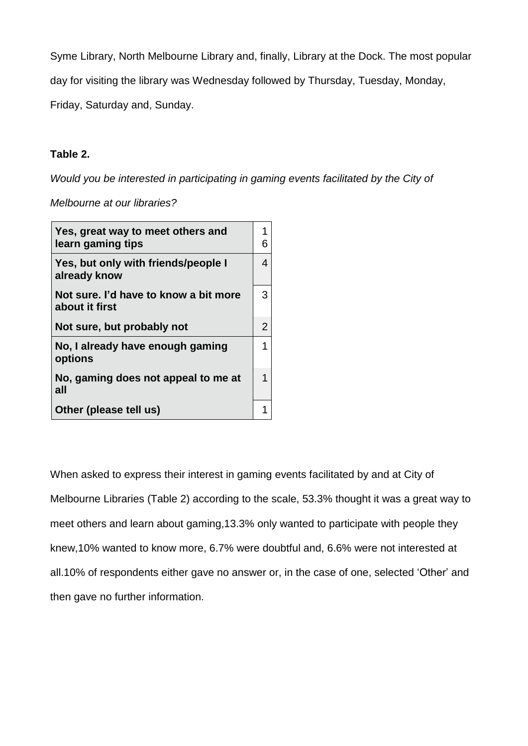Syme Library, North Melbourne Library and, finally, Library at the Dock. The most popular

day for visiting the library was Wednesday followed by Thursday, Tuesday, Monday,

Friday, Saturday and, Sunday.

# **Table 2.**

*Would you be interested in participating in gaming events facilitated by the City of*

*Melbourne at our libraries?*

| Yes, great way to meet others and<br>learn gaming tips  | 1<br>6         |
|---------------------------------------------------------|----------------|
| Yes, but only with friends/people I<br>already know     | 4              |
| Not sure. I'd have to know a bit more<br>about it first | 3              |
| Not sure, but probably not                              | $\overline{2}$ |
| No, I already have enough gaming<br>options             | 1              |
| No, gaming does not appeal to me at<br>all              | 1              |
| Other (please tell us)                                  |                |

When asked to express their interest in gaming events facilitated by and at City of Melbourne Libraries (Table 2) according to the scale, 53.3% thought it was a great way to meet others and learn about gaming,13.3% only wanted to participate with people they knew,10% wanted to know more, 6.7% were doubtful and, 6.6% were not interested at all.10% of respondents either gave no answer or, in the case of one, selected 'Other' and then gave no further information.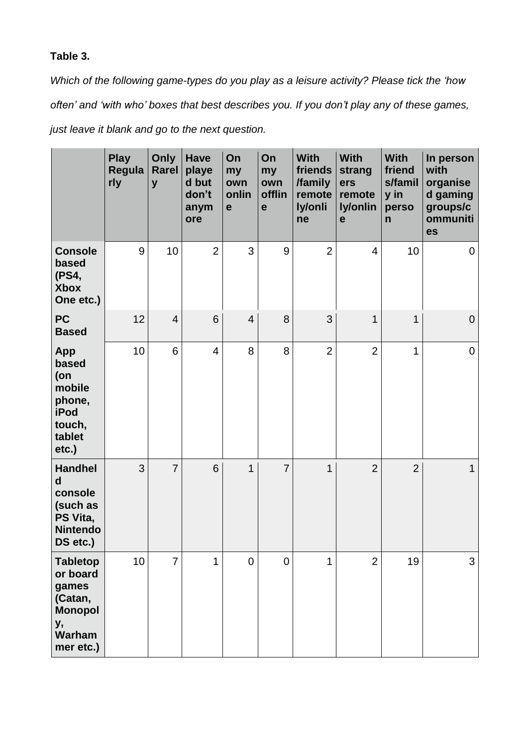# **Table 3.**

*Which of the following game-types do you play as a leisure activity? Please tick the 'how often' and 'with who' boxes that best describes you. If you don't play any of these games,*

*just leave it blank and go to the next question.*

|                                                                                                 | <b>Play</b><br>Regula<br>rly | Only<br><b>Rarel</b><br>y | <b>Have</b><br>playe<br>d but<br>don't<br>anym<br>ore | On<br>my<br>own<br>onlin<br>$\mathbf e$ | On<br>my<br>own<br>offlin<br>$\mathbf e$ | <b>With</b><br>friends<br>/family<br>remote<br>ly/onli<br>ne | <b>With</b><br>strang<br>ers<br>remote<br>ly/onlin<br>$\mathbf e$ | <b>With</b><br>friend<br>s/famil<br>y in<br>perso<br>$\mathsf{n}$ | In person<br>with<br>organise<br>d gaming<br>groups/c<br>ommuniti<br>es |
|-------------------------------------------------------------------------------------------------|------------------------------|---------------------------|-------------------------------------------------------|-----------------------------------------|------------------------------------------|--------------------------------------------------------------|-------------------------------------------------------------------|-------------------------------------------------------------------|-------------------------------------------------------------------------|
| <b>Console</b><br>based<br>(PS4,<br><b>Xbox</b><br>One etc.)                                    | 9                            | 10                        | $\overline{2}$                                        | 3                                       | 9                                        | $\overline{2}$                                               | 4                                                                 | 10                                                                | 0                                                                       |
| <b>PC</b><br><b>Based</b>                                                                       | 12                           | $\overline{4}$            | 6                                                     | $\overline{4}$                          | 8                                        | 3                                                            | $\mathbf{1}$                                                      | $\mathbf{1}$                                                      | $\mathbf 0$                                                             |
| App<br>based<br>(on<br>mobile<br>phone,<br>iPod<br>touch,<br>tablet<br>etc.)                    | 10                           | 6                         | $\overline{4}$                                        | 8                                       | 8                                        | $\overline{2}$                                               | $\overline{2}$                                                    | $\mathbf{1}$                                                      | 0                                                                       |
| <b>Handhel</b><br>$\mathbf d$<br>console<br>(such as<br>PS Vita,<br><b>Nintendo</b><br>DS etc.) | 3                            | $\overline{7}$            | 6                                                     | 1                                       | $\overline{7}$                           | 1                                                            | $\overline{2}$                                                    | $\overline{2}$                                                    | $\mathbf{1}$                                                            |
| <b>Tabletop</b><br>or board<br>games<br>(Catan,<br><b>Monopol</b><br>у,<br>Warham<br>mer etc.)  | 10                           | $\overline{7}$            | 1                                                     | $\mathbf 0$                             | $\overline{0}$                           | 1                                                            | $\overline{2}$                                                    | 19                                                                | 3                                                                       |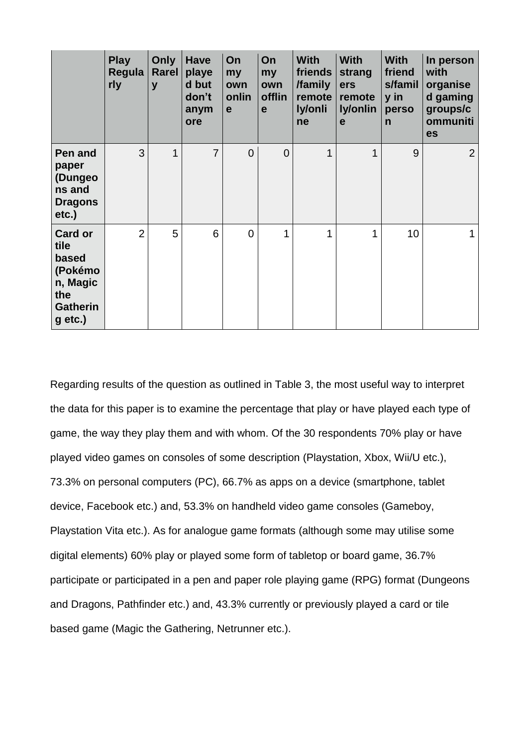|                                                                                               | <b>Play</b><br>Regula<br>rly | Only<br><b>Rarel</b><br>y | <b>Have</b><br>playe<br>d but<br>don't<br>anym<br>ore | On<br>my<br>own<br>onlin<br>e | On<br>my<br>own<br>offlin<br>$\mathbf e$ | <b>With</b><br>friends<br>/family<br>remote<br>ly/onli<br>ne | <b>With</b><br>strang<br>ers<br>remote<br>ly/onlin<br>e | <b>With</b><br>friend<br>s/famil<br>y in<br>perso<br>$\mathsf{n}$ | In person<br>with<br>organise<br>d gaming<br>groups/c<br>ommuniti<br>es |
|-----------------------------------------------------------------------------------------------|------------------------------|---------------------------|-------------------------------------------------------|-------------------------------|------------------------------------------|--------------------------------------------------------------|---------------------------------------------------------|-------------------------------------------------------------------|-------------------------------------------------------------------------|
| Pen and<br>paper<br>(Dungeo<br>ns and<br><b>Dragons</b><br>$etc.$ )                           | 3                            | 1                         | $\overline{7}$                                        | $\overline{0}$                | $\overline{0}$                           | 1                                                            | 1                                                       | 9                                                                 | $\overline{2}$                                                          |
| <b>Card or</b><br>tile<br>based<br>(Pokémo<br>n, Magic<br>the<br><b>Gatherin</b><br>$g$ etc.) | $\overline{2}$               | 5                         | 6                                                     | $\overline{0}$                | 1                                        | 1                                                            | 1                                                       | 10                                                                | $\mathbf{1}$                                                            |

Regarding results of the question as outlined in Table 3, the most useful way to interpret the data for this paper is to examine the percentage that play or have played each type of game, the way they play them and with whom. Of the 30 respondents 70% play or have played video games on consoles of some description (Playstation, Xbox, Wii/U etc.), 73.3% on personal computers (PC), 66.7% as apps on a device (smartphone, tablet device, Facebook etc.) and, 53.3% on handheld video game consoles (Gameboy, Playstation Vita etc.). As for analogue game formats (although some may utilise some digital elements) 60% play or played some form of tabletop or board game, 36.7% participate or participated in a pen and paper role playing game (RPG) format (Dungeons and Dragons, Pathfinder etc.) and, 43.3% currently or previously played a card or tile based game (Magic the Gathering, Netrunner etc.).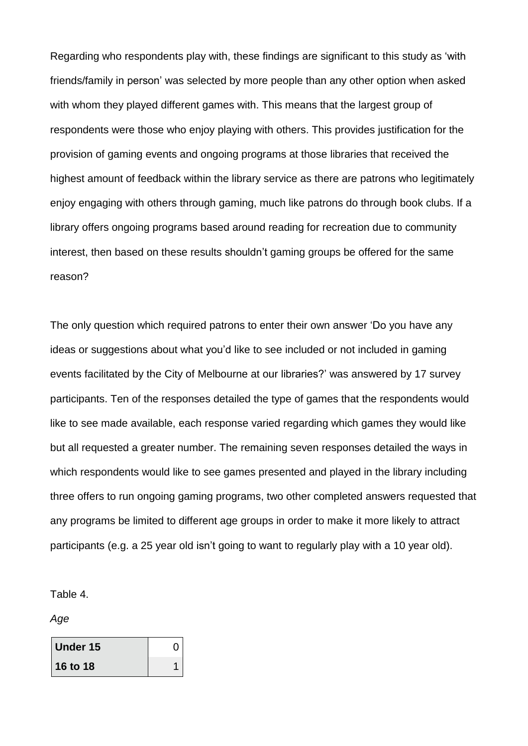Regarding who respondents play with, these findings are significant to this study as 'with friends/family in person' was selected by more people than any other option when asked with whom they played different games with. This means that the largest group of respondents were those who enjoy playing with others. This provides justification for the provision of gaming events and ongoing programs at those libraries that received the highest amount of feedback within the library service as there are patrons who legitimately enjoy engaging with others through gaming, much like patrons do through book clubs. If a library offers ongoing programs based around reading for recreation due to community interest, then based on these results shouldn't gaming groups be offered for the same reason?

The only question which required patrons to enter their own answer 'Do you have any ideas or suggestions about what you'd like to see included or not included in gaming events facilitated by the City of Melbourne at our libraries?' was answered by 17 survey participants. Ten of the responses detailed the type of games that the respondents would like to see made available, each response varied regarding which games they would like but all requested a greater number. The remaining seven responses detailed the ways in which respondents would like to see games presented and played in the library including three offers to run ongoing gaming programs, two other completed answers requested that any programs be limited to different age groups in order to make it more likely to attract participants (e.g. a 25 year old isn't going to want to regularly play with a 10 year old).

Table 4.

*Age*

| Under 15 |  |
|----------|--|
| 16 to 18 |  |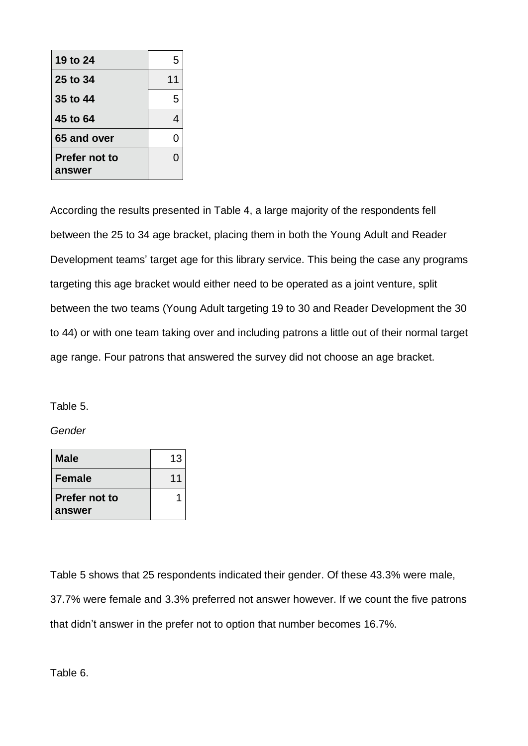| 19 to 24                | 5  |
|-------------------------|----|
| 25 to 34                | 11 |
| 35 to 44                | 5  |
| 45 to 64                |    |
| 65 and over             |    |
| Prefer not to<br>answer |    |

According the results presented in Table 4, a large majority of the respondents fell between the 25 to 34 age bracket, placing them in both the Young Adult and Reader Development teams' target age for this library service. This being the case any programs targeting this age bracket would either need to be operated as a joint venture, split between the two teams (Young Adult targeting 19 to 30 and Reader Development the 30 to 44) or with one team taking over and including patrons a little out of their normal target age range. Four patrons that answered the survey did not choose an age bracket.

Table 5.

*Gender*

| Male                    | 13 |
|-------------------------|----|
| <b>Female</b>           | 11 |
| Prefer not to<br>answer |    |

Table 5 shows that 25 respondents indicated their gender. Of these 43.3% were male, 37.7% were female and 3.3% preferred not answer however. If we count the five patrons that didn't answer in the prefer not to option that number becomes 16.7%.

Table 6.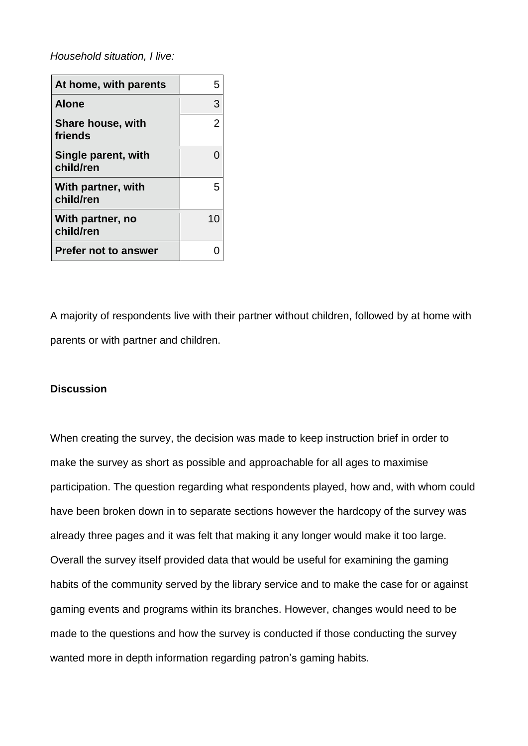*Household situation, I live:*

| At home, with parents               | 5  |
|-------------------------------------|----|
| <b>Alone</b>                        | 3  |
| <b>Share house, with</b><br>friends | 2  |
| Single parent, with<br>child/ren    |    |
| With partner, with<br>child/ren     | 5  |
| With partner, no<br>child/ren       | 10 |
| <b>Prefer not to answer</b>         |    |

A majority of respondents live with their partner without children, followed by at home with parents or with partner and children.

# **Discussion**

When creating the survey, the decision was made to keep instruction brief in order to make the survey as short as possible and approachable for all ages to maximise participation. The question regarding what respondents played, how and, with whom could have been broken down in to separate sections however the hardcopy of the survey was already three pages and it was felt that making it any longer would make it too large. Overall the survey itself provided data that would be useful for examining the gaming habits of the community served by the library service and to make the case for or against gaming events and programs within its branches. However, changes would need to be made to the questions and how the survey is conducted if those conducting the survey wanted more in depth information regarding patron's gaming habits.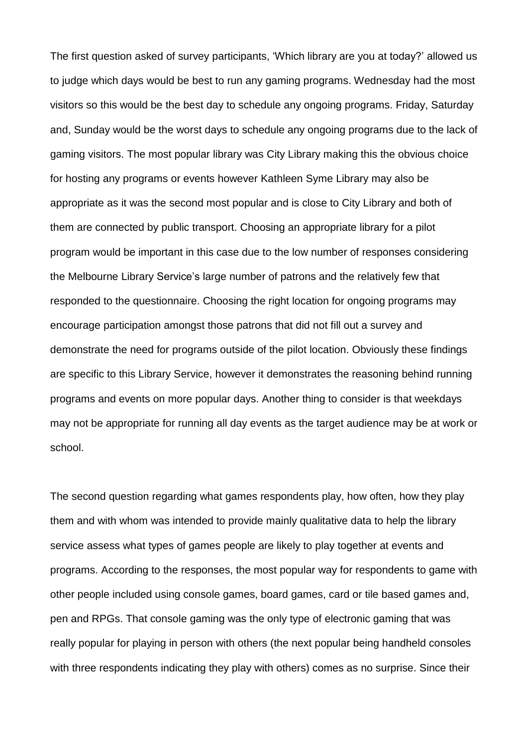The first question asked of survey participants, 'Which library are you at today?' allowed us to judge which days would be best to run any gaming programs. Wednesday had the most visitors so this would be the best day to schedule any ongoing programs. Friday, Saturday and, Sunday would be the worst days to schedule any ongoing programs due to the lack of gaming visitors. The most popular library was City Library making this the obvious choice for hosting any programs or events however Kathleen Syme Library may also be appropriate as it was the second most popular and is close to City Library and both of them are connected by public transport. Choosing an appropriate library for a pilot program would be important in this case due to the low number of responses considering the Melbourne Library Service's large number of patrons and the relatively few that responded to the questionnaire. Choosing the right location for ongoing programs may encourage participation amongst those patrons that did not fill out a survey and demonstrate the need for programs outside of the pilot location. Obviously these findings are specific to this Library Service, however it demonstrates the reasoning behind running programs and events on more popular days. Another thing to consider is that weekdays may not be appropriate for running all day events as the target audience may be at work or school.

The second question regarding what games respondents play, how often, how they play them and with whom was intended to provide mainly qualitative data to help the library service assess what types of games people are likely to play together at events and programs. According to the responses, the most popular way for respondents to game with other people included using console games, board games, card or tile based games and, pen and RPGs. That console gaming was the only type of electronic gaming that was really popular for playing in person with others (the next popular being handheld consoles with three respondents indicating they play with others) comes as no surprise. Since their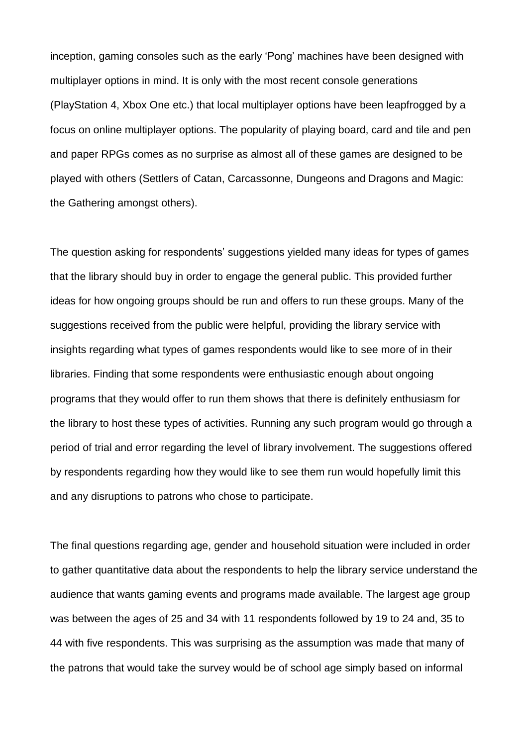inception, gaming consoles such as the early 'Pong' machines have been designed with multiplayer options in mind. It is only with the most recent console generations (PlayStation 4, Xbox One etc.) that local multiplayer options have been leapfrogged by a focus on online multiplayer options. The popularity of playing board, card and tile and pen and paper RPGs comes as no surprise as almost all of these games are designed to be played with others (Settlers of Catan, Carcassonne, Dungeons and Dragons and Magic: the Gathering amongst others).

The question asking for respondents' suggestions yielded many ideas for types of games that the library should buy in order to engage the general public. This provided further ideas for how ongoing groups should be run and offers to run these groups. Many of the suggestions received from the public were helpful, providing the library service with insights regarding what types of games respondents would like to see more of in their libraries. Finding that some respondents were enthusiastic enough about ongoing programs that they would offer to run them shows that there is definitely enthusiasm for the library to host these types of activities. Running any such program would go through a period of trial and error regarding the level of library involvement. The suggestions offered by respondents regarding how they would like to see them run would hopefully limit this and any disruptions to patrons who chose to participate.

The final questions regarding age, gender and household situation were included in order to gather quantitative data about the respondents to help the library service understand the audience that wants gaming events and programs made available. The largest age group was between the ages of 25 and 34 with 11 respondents followed by 19 to 24 and, 35 to 44 with five respondents. This was surprising as the assumption was made that many of the patrons that would take the survey would be of school age simply based on informal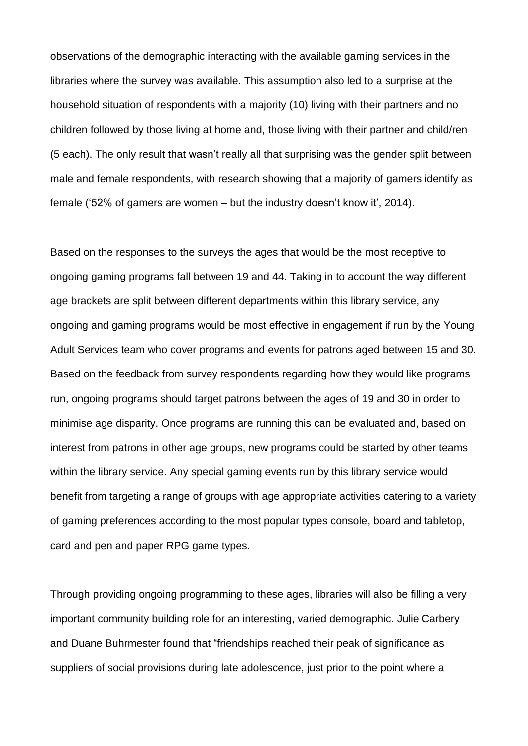observations of the demographic interacting with the available gaming services in the libraries where the survey was available. This assumption also led to a surprise at the household situation of respondents with a majority (10) living with their partners and no children followed by those living at home and, those living with their partner and child/ren (5 each). The only result that wasn't really all that surprising was the gender split between male and female respondents, with research showing that a majority of gamers identify as female ('52% of gamers are women – but the industry doesn't know it', 2014).

Based on the responses to the surveys the ages that would be the most receptive to ongoing gaming programs fall between 19 and 44. Taking in to account the way different age brackets are split between different departments within this library service, any ongoing and gaming programs would be most effective in engagement if run by the Young Adult Services team who cover programs and events for patrons aged between 15 and 30. Based on the feedback from survey respondents regarding how they would like programs run, ongoing programs should target patrons between the ages of 19 and 30 in order to minimise age disparity. Once programs are running this can be evaluated and, based on interest from patrons in other age groups, new programs could be started by other teams within the library service. Any special gaming events run by this library service would benefit from targeting a range of groups with age appropriate activities catering to a variety of gaming preferences according to the most popular types console, board and tabletop, card and pen and paper RPG game types.

Through providing ongoing programming to these ages, libraries will also be filling a very important community building role for an interesting, varied demographic. Julie Carbery and Duane Buhrmester found that "friendships reached their peak of significance as suppliers of social provisions during late adolescence, just prior to the point where a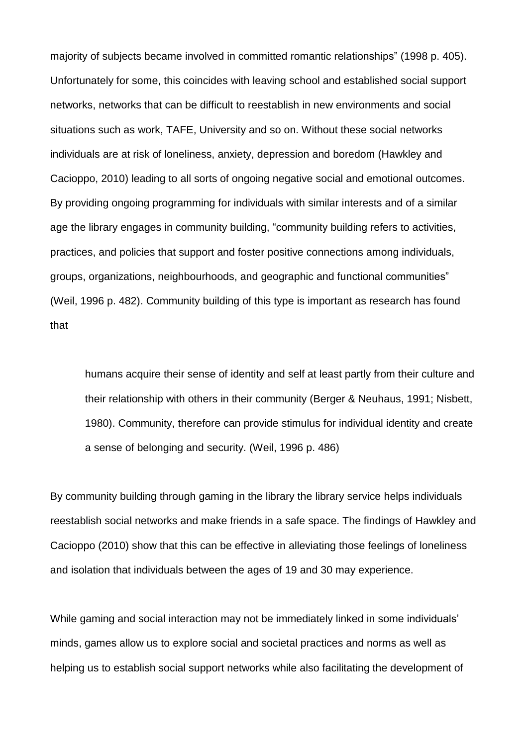majority of subjects became involved in committed romantic relationships" (1998 p. 405). Unfortunately for some, this coincides with leaving school and established social support networks, networks that can be difficult to reestablish in new environments and social situations such as work, TAFE, University and so on. Without these social networks individuals are at risk of loneliness, anxiety, depression and boredom (Hawkley and Cacioppo, 2010) leading to all sorts of ongoing negative social and emotional outcomes. By providing ongoing programming for individuals with similar interests and of a similar age the library engages in community building, "community building refers to activities, practices, and policies that support and foster positive connections among individuals, groups, organizations, neighbourhoods, and geographic and functional communities" (Weil, 1996 p. 482). Community building of this type is important as research has found that

humans acquire their sense of identity and self at least partly from their culture and their relationship with others in their community (Berger & Neuhaus, 1991; Nisbett, 1980). Community, therefore can provide stimulus for individual identity and create a sense of belonging and security. (Weil, 1996 p. 486)

By community building through gaming in the library the library service helps individuals reestablish social networks and make friends in a safe space. The findings of Hawkley and Cacioppo (2010) show that this can be effective in alleviating those feelings of loneliness and isolation that individuals between the ages of 19 and 30 may experience.

While gaming and social interaction may not be immediately linked in some individuals' minds, games allow us to explore social and societal practices and norms as well as helping us to establish social support networks while also facilitating the development of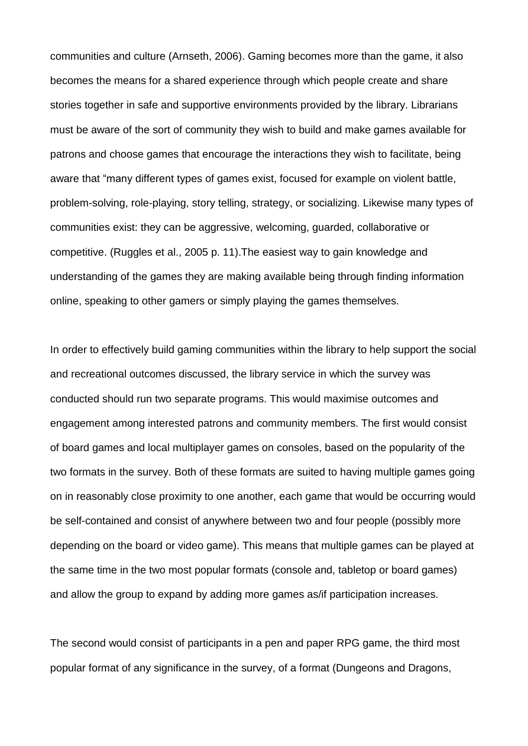communities and culture (Arnseth, 2006). Gaming becomes more than the game, it also becomes the means for a shared experience through which people create and share stories together in safe and supportive environments provided by the library. Librarians must be aware of the sort of community they wish to build and make games available for patrons and choose games that encourage the interactions they wish to facilitate, being aware that "many different types of games exist, focused for example on violent battle, problem-solving, role-playing, story telling, strategy, or socializing. Likewise many types of communities exist: they can be aggressive, welcoming, guarded, collaborative or competitive. (Ruggles et al., 2005 p. 11).The easiest way to gain knowledge and understanding of the games they are making available being through finding information online, speaking to other gamers or simply playing the games themselves.

In order to effectively build gaming communities within the library to help support the social and recreational outcomes discussed, the library service in which the survey was conducted should run two separate programs. This would maximise outcomes and engagement among interested patrons and community members. The first would consist of board games and local multiplayer games on consoles, based on the popularity of the two formats in the survey. Both of these formats are suited to having multiple games going on in reasonably close proximity to one another, each game that would be occurring would be self-contained and consist of anywhere between two and four people (possibly more depending on the board or video game). This means that multiple games can be played at the same time in the two most popular formats (console and, tabletop or board games) and allow the group to expand by adding more games as/if participation increases.

The second would consist of participants in a pen and paper RPG game, the third most popular format of any significance in the survey, of a format (Dungeons and Dragons,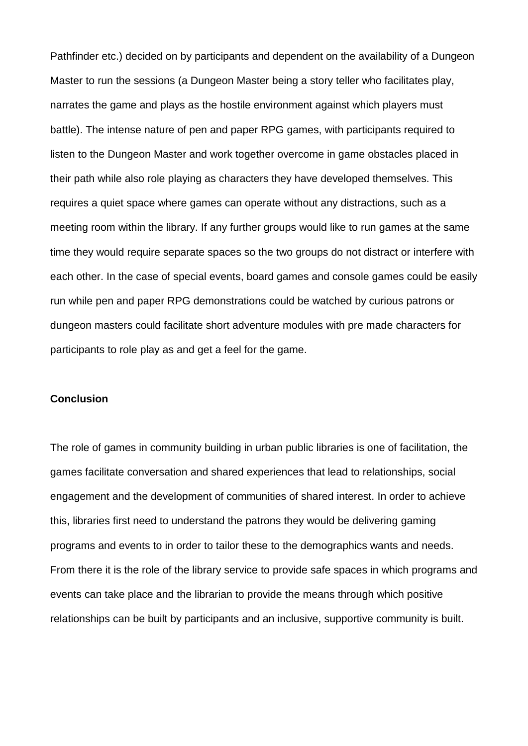Pathfinder etc.) decided on by participants and dependent on the availability of a Dungeon Master to run the sessions (a Dungeon Master being a story teller who facilitates play, narrates the game and plays as the hostile environment against which players must battle). The intense nature of pen and paper RPG games, with participants required to listen to the Dungeon Master and work together overcome in game obstacles placed in their path while also role playing as characters they have developed themselves. This requires a quiet space where games can operate without any distractions, such as a meeting room within the library. If any further groups would like to run games at the same time they would require separate spaces so the two groups do not distract or interfere with each other. In the case of special events, board games and console games could be easily run while pen and paper RPG demonstrations could be watched by curious patrons or dungeon masters could facilitate short adventure modules with pre made characters for participants to role play as and get a feel for the game.

#### **Conclusion**

The role of games in community building in urban public libraries is one of facilitation, the games facilitate conversation and shared experiences that lead to relationships, social engagement and the development of communities of shared interest. In order to achieve this, libraries first need to understand the patrons they would be delivering gaming programs and events to in order to tailor these to the demographics wants and needs. From there it is the role of the library service to provide safe spaces in which programs and events can take place and the librarian to provide the means through which positive relationships can be built by participants and an inclusive, supportive community is built.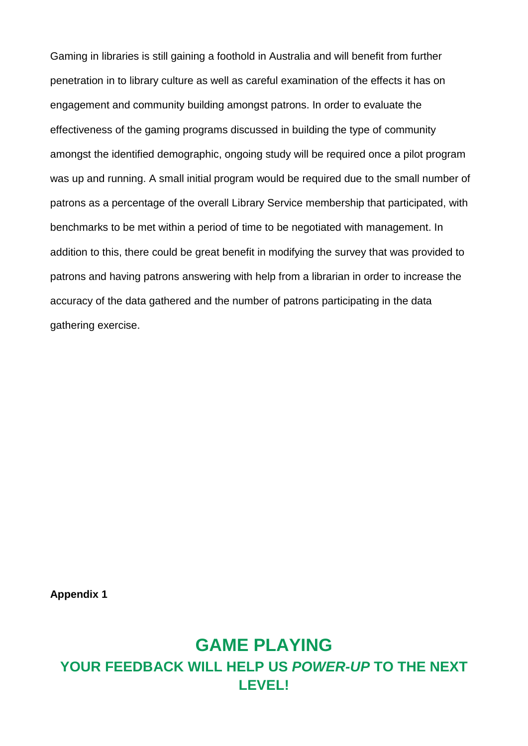Gaming in libraries is still gaining a foothold in Australia and will benefit from further penetration in to library culture as well as careful examination of the effects it has on engagement and community building amongst patrons. In order to evaluate the effectiveness of the gaming programs discussed in building the type of community amongst the identified demographic, ongoing study will be required once a pilot program was up and running. A small initial program would be required due to the small number of patrons as a percentage of the overall Library Service membership that participated, with benchmarks to be met within a period of time to be negotiated with management. In addition to this, there could be great benefit in modifying the survey that was provided to patrons and having patrons answering with help from a librarian in order to increase the accuracy of the data gathered and the number of patrons participating in the data gathering exercise.

**Appendix 1**

# **GAME PLAYING YOUR FEEDBACK WILL HELP US** *POWER-UP* **TO THE NEXT LEVEL!**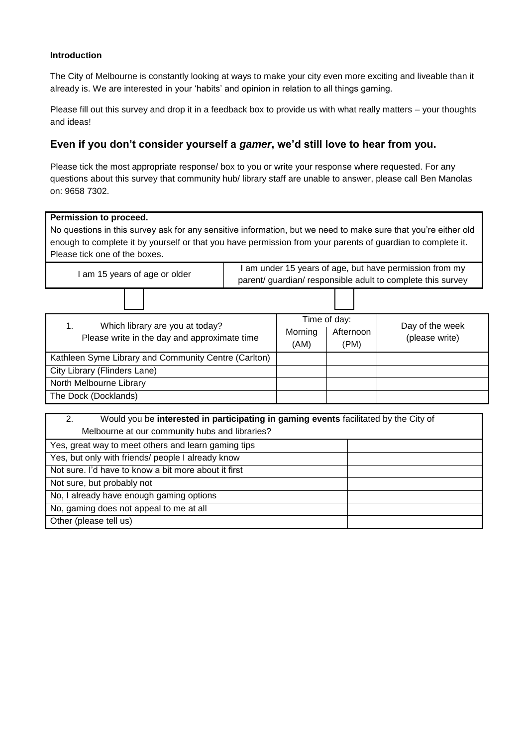#### **Introduction**

The City of Melbourne is constantly looking at ways to make your city even more exciting and liveable than it already is. We are interested in your 'habits' and opinion in relation to all things gaming.

Please fill out this survey and drop it in a feedback box to provide us with what really matters – your thoughts and ideas!

#### **Even if you don't consider yourself a** *gamer***, we'd still love to hear from you.**

Please tick the most appropriate response/ box to you or write your response where requested. For any questions about this survey that community hub/ library staff are unable to answer, please call Ben Manolas on: 9658 7302.

| Permission to proceed.<br>No questions in this survey ask for any sensitive information, but we need to make sure that you're either old<br>enough to complete it by yourself or that you have permission from your parents of guardian to complete it.<br>Please tick one of the boxes. |                                                                                                                      |                 |                                   |  |                                   |  |
|------------------------------------------------------------------------------------------------------------------------------------------------------------------------------------------------------------------------------------------------------------------------------------------|----------------------------------------------------------------------------------------------------------------------|-----------------|-----------------------------------|--|-----------------------------------|--|
| I am 15 years of age or older                                                                                                                                                                                                                                                            | I am under 15 years of age, but have permission from my<br>parent/guardian/responsible adult to complete this survey |                 |                                   |  |                                   |  |
|                                                                                                                                                                                                                                                                                          |                                                                                                                      |                 |                                   |  |                                   |  |
| 1.<br>Which library are you at today?<br>Please write in the day and approximate time                                                                                                                                                                                                    |                                                                                                                      | Morning<br>(AM) | Time of day:<br>Afternoon<br>(PM) |  | Day of the week<br>(please write) |  |
| Kathleen Syme Library and Community Centre (Carlton)                                                                                                                                                                                                                                     |                                                                                                                      |                 |                                   |  |                                   |  |
| City Library (Flinders Lane)                                                                                                                                                                                                                                                             |                                                                                                                      |                 |                                   |  |                                   |  |
| North Melbourne Library                                                                                                                                                                                                                                                                  |                                                                                                                      |                 |                                   |  |                                   |  |
| The Dock (Docklands)                                                                                                                                                                                                                                                                     |                                                                                                                      |                 |                                   |  |                                   |  |
| 2.<br>Would you be interested in participating in gaming events facilitated by the City of<br>Melbourne at our community hubs and libraries?                                                                                                                                             |                                                                                                                      |                 |                                   |  |                                   |  |
| Yes, great way to meet others and learn gaming tips                                                                                                                                                                                                                                      |                                                                                                                      |                 |                                   |  |                                   |  |
| Yes, but only with friends/ people I already know                                                                                                                                                                                                                                        |                                                                                                                      |                 |                                   |  |                                   |  |

Not sure. I'd have to know a bit more about it first

No, I already have enough gaming options No, gaming does not appeal to me at all

Not sure, but probably not

Other (please tell us)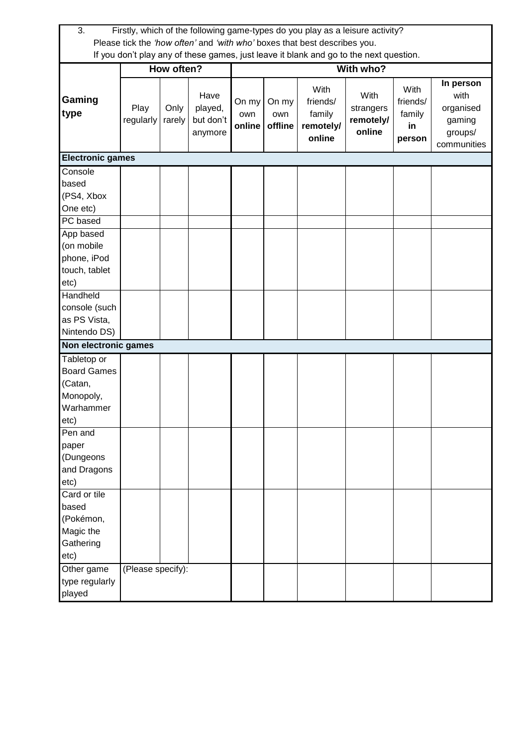| 3.                                                                                                                                                                                        |                   |                |                                         |                        |                         | Firstly, which of the following game-types do you play as a leisure activity?          |                                          |                                            |                                                                    |
|-------------------------------------------------------------------------------------------------------------------------------------------------------------------------------------------|-------------------|----------------|-----------------------------------------|------------------------|-------------------------|----------------------------------------------------------------------------------------|------------------------------------------|--------------------------------------------|--------------------------------------------------------------------|
|                                                                                                                                                                                           |                   |                |                                         |                        |                         | Please tick the 'how often' and 'with who' boxes that best describes you.              |                                          |                                            |                                                                    |
|                                                                                                                                                                                           |                   |                |                                         |                        |                         | If you don't play any of these games, just leave it blank and go to the next question. |                                          |                                            |                                                                    |
|                                                                                                                                                                                           |                   | How often?     |                                         | With who?              |                         |                                                                                        |                                          |                                            |                                                                    |
| Gaming<br>type                                                                                                                                                                            | Play<br>regularly | Only<br>rarely | Have<br>played,<br>but don't<br>anymore | On my<br>own<br>online | On my<br>own<br>offline | With<br>friends/<br>family<br>remotely/<br>online                                      | With<br>strangers<br>remotely/<br>online | With<br>friends/<br>family<br>in<br>person | In person<br>with<br>organised<br>gaming<br>groups/<br>communities |
| <b>Electronic games</b>                                                                                                                                                                   |                   |                |                                         |                        |                         |                                                                                        |                                          |                                            |                                                                    |
| Console<br>based<br>(PS4, Xbox<br>One etc)                                                                                                                                                |                   |                |                                         |                        |                         |                                                                                        |                                          |                                            |                                                                    |
| PC based                                                                                                                                                                                  |                   |                |                                         |                        |                         |                                                                                        |                                          |                                            |                                                                    |
| App based<br>(on mobile<br>phone, iPod<br>touch, tablet<br>etc)<br>Handheld<br>console (such<br>as PS Vista,<br>Nintendo DS)<br>Non electronic games<br>Tabletop or<br><b>Board Games</b> |                   |                |                                         |                        |                         |                                                                                        |                                          |                                            |                                                                    |
| (Catan,<br>Monopoly,<br>Warhammer<br>etc)<br>Pen and<br>paper                                                                                                                             |                   |                |                                         |                        |                         |                                                                                        |                                          |                                            |                                                                    |
| (Dungeons<br>and Dragons<br>etc)<br>Card or tile<br>based                                                                                                                                 |                   |                |                                         |                        |                         |                                                                                        |                                          |                                            |                                                                    |
| (Pokémon,<br>Magic the<br>Gathering<br>etc)                                                                                                                                               |                   |                |                                         |                        |                         |                                                                                        |                                          |                                            |                                                                    |
| Other game<br>type regularly<br>played                                                                                                                                                    | (Please specify): |                |                                         |                        |                         |                                                                                        |                                          |                                            |                                                                    |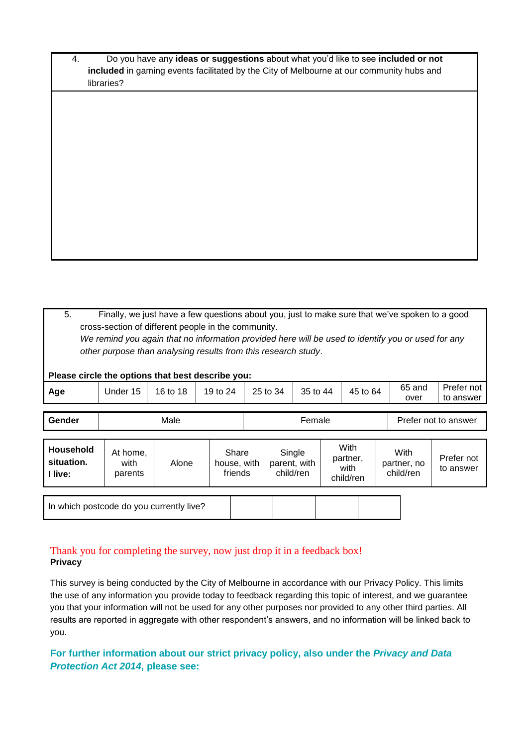| Do you have any ideas or suggestions about what you'd like to see included or not               |
|-------------------------------------------------------------------------------------------------|
| <b>included</b> in gaming events facilitated by the City of Melbourne at our community hubs and |
| libraries?                                                                                      |

5. Finally, we just have a few questions about you, just to make sure that we've spoken to a good cross-section of different people in the community. *We remind you again that no information provided here will be used to identify you or used for any other purpose than analysing results from this research study*. **Please circle the options that best describe you: Age** | Under 15 | 16 to 18 | 19 to 24 | 25 to 34 | 35 to 44 | 45 to 64 | <sup>65</sup> and over Prefer not to answer **Gender**  $\vert$  Male  $\vert$  **Female** Prefer not to answer **Household situation. I live:** At home, with parents Alone Share house, with friends **Single** parent, with child/ren **With** partner, with child/ren **With** partner, no child/ren Prefer not to answer

In which postcode do you currently live?

# Thank you for completing the survey, now just drop it in a feedback box! **Privacy**

This survey is being conducted by the City of Melbourne in accordance with our Privacy Policy. This limits the use of any information you provide today to feedback regarding this topic of interest, and we guarantee you that your information will not be used for any other purposes nor provided to any other third parties. All results are reported in aggregate with other respondent's answers, and no information will be linked back to you.

**For further information about our strict privacy policy, also under the** *Privacy and Data Protection Act 2014***, please see:**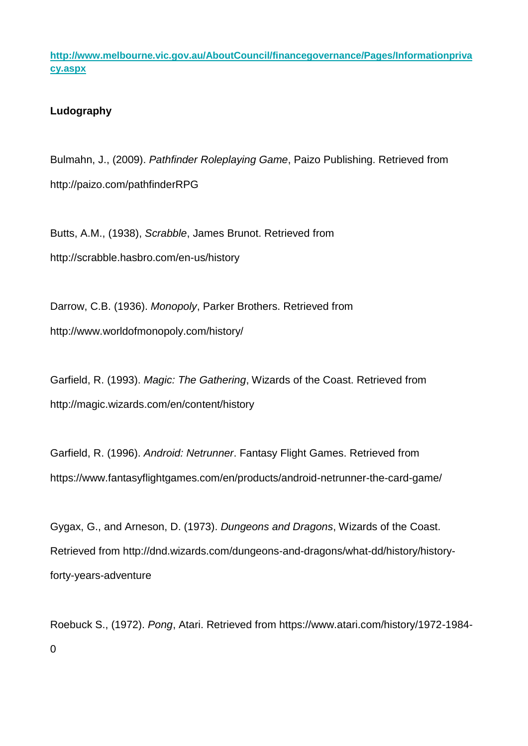**[http://www.melbourne.vic.gov.au/AboutCouncil/financegovernance/Pages/Informationpriva](http://www.melbourne.vic.gov.au/AboutCouncil/financegovernance/Pages/Informationprivacy.aspx) [cy.aspx](http://www.melbourne.vic.gov.au/AboutCouncil/financegovernance/Pages/Informationprivacy.aspx)**

# **Ludography**

Bulmahn, J., (2009). *Pathfinder Roleplaying Game*, Paizo Publishing. Retrieved from http://paizo.com/pathfinderRPG

Butts, A.M., (1938), *Scrabble*, James Brunot. Retrieved from http://scrabble.hasbro.com/en-us/history

Darrow, C.B. (1936). *Monopoly*, Parker Brothers. Retrieved from http://www.worldofmonopoly.com/history/

Garfield, R. (1993). *Magic: The Gathering*, Wizards of the Coast. Retrieved from http://magic.wizards.com/en/content/history

Garfield, R. (1996). *Android: Netrunner*. Fantasy Flight Games. Retrieved from https://www.fantasyflightgames.com/en/products/android-netrunner-the-card-game/

Gygax, G., and Arneson, D. (1973). *Dungeons and Dragons*, Wizards of the Coast. Retrieved from http://dnd.wizards.com/dungeons-and-dragons/what-dd/history/historyforty-years-adventure

Roebuck S., (1972). *Pong*, Atari. Retrieved from https://www.atari.com/history/1972-1984- 0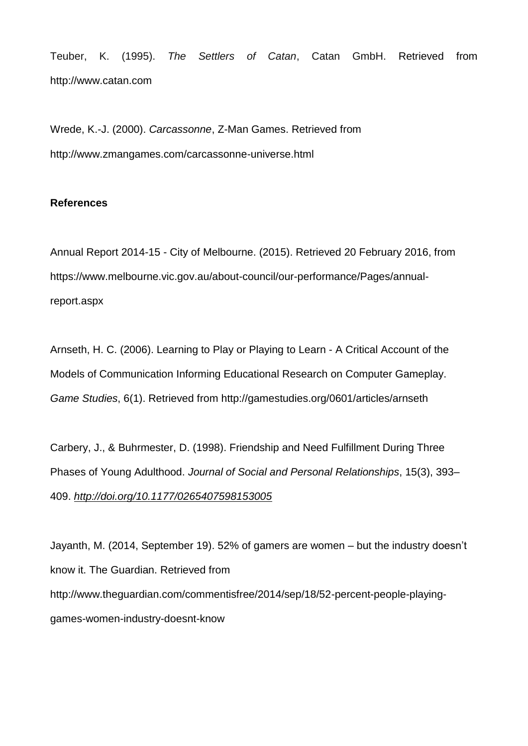Teuber, K. (1995). *The Settlers of Catan*, Catan GmbH. Retrieved from http://www.catan.com

Wrede, K.-J. (2000). *Carcassonne*, Z-Man Games. Retrieved from http://www.zmangames.com/carcassonne-universe.html

# **References**

Annual Report 2014-15 - City of Melbourne. (2015). Retrieved 20 February 2016, from https://www.melbourne.vic.gov.au/about-council/our-performance/Pages/annualreport.aspx

Arnseth, H. C. (2006). Learning to Play or Playing to Learn - A Critical Account of the Models of Communication Informing Educational Research on Computer Gameplay. *Game Studies*, 6(1). Retrieved from http://gamestudies.org/0601/articles/arnseth

Carbery, J., & Buhrmester, D. (1998). Friendship and Need Fulfillment During Three Phases of Young Adulthood. *Journal of Social and Personal Relationships*, 15(3), 393– 409. *<http://doi.org/10.1177/0265407598153005>*

Jayanth, M. (2014, September 19). 52% of gamers are women – but the industry doesn't know it. The Guardian. Retrieved from http://www.theguardian.com/commentisfree/2014/sep/18/52-percent-people-playinggames-women-industry-doesnt-know